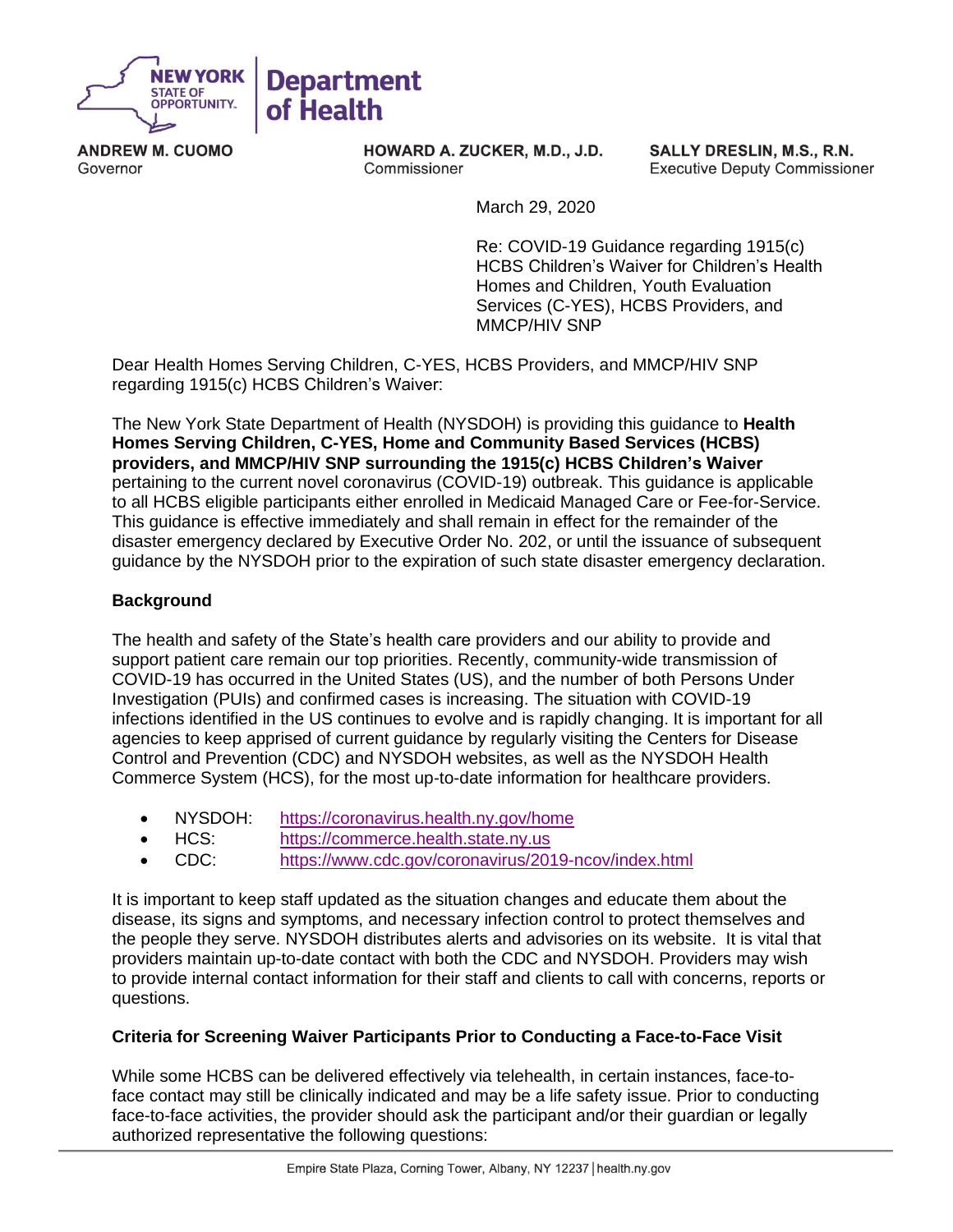

**ANDREW M. CUOMO**  Governor

**HOWARD A. ZUCKER, M.D., J.D.**  Commissioner

**SALLY DRESLIN, M.S., R.N.**  Executive Deputy Commissioner

March 29, 2020

 Re: COVID-19 Guidance regarding 1915(c) Services (C-YES), HCBS Providers, and HCBS Children's Waiver for Children's Health Homes and Children, Youth Evaluation MMCP/HIV SNP

 Dear Health Homes Serving Children, C-YES, HCBS Providers, and MMCP/HIV SNP regarding 1915(c) HCBS Children's Waiver:

 The New York State Department of Health (NYSDOH) is providing this guidance to **Health Homes Serving Children, C-YES, Home and Community Based Services (HCBS) providers, and MMCP/HIV SNP surrounding the 1915(c) HCBS Children's Waiver** pertaining to the current novel coronavirus (COVID-19) outbreak. This guidance is applicable to all HCBS eligible participants either enrolled in Medicaid Managed Care or Fee-for-Service. This guidance is effective immediately and shall remain in effect for the remainder of the disaster emergency declared by Executive Order No. 202, or until the issuance of subsequent guidance by the NYSDOH prior to the expiration of such state disaster emergency declaration.

# **Background**

 The health and safety of the State's health care providers and our ability to provide and support patient care remain our top priorities. Recently, community-wide transmission of COVID-19 has occurred in the United States (US), and the number of both Persons Under Investigation (PUIs) and confirmed cases is increasing. The situation with COVID-19 infections identified in the US continues to evolve and is rapidly changing. It is important for all agencies to keep apprised of current guidance by regularly visiting the Centers for Disease Control and Prevention (CDC) and NYSDOH websites, as well as the NYSDOH Health Commerce System (HCS), for the most up-to-date information for healthcare providers.

- NYSDOH: <https://coronavirus.health.ny.gov/home>
- HCS: [https://commerce.health.state.ny.us](https://commerce.health.state.ny.us/)
- CDC: <https://www.cdc.gov/coronavirus/2019-ncov/index.html>

 It is important to keep staff updated as the situation changes and educate them about the disease, its signs and symptoms, and necessary infection control to protect themselves and the people they serve. NYSDOH distributes alerts and advisories on its website. It is vital that providers maintain up-to-date contact with both the CDC and NYSDOH. Providers may wish to provide internal contact information for their staff and clients to call with concerns, reports or questions.

## **Criteria for Screening Waiver Participants Prior to Conducting a Face-to-Face Visit**

 While some HCBS can be delivered effectively via telehealth, in certain instances, face-to- face contact may still be clinically indicated and may be a life safety issue. Prior to conducting face-to-face activities, the provider should ask the participant and/or their guardian or legally authorized representative the following questions: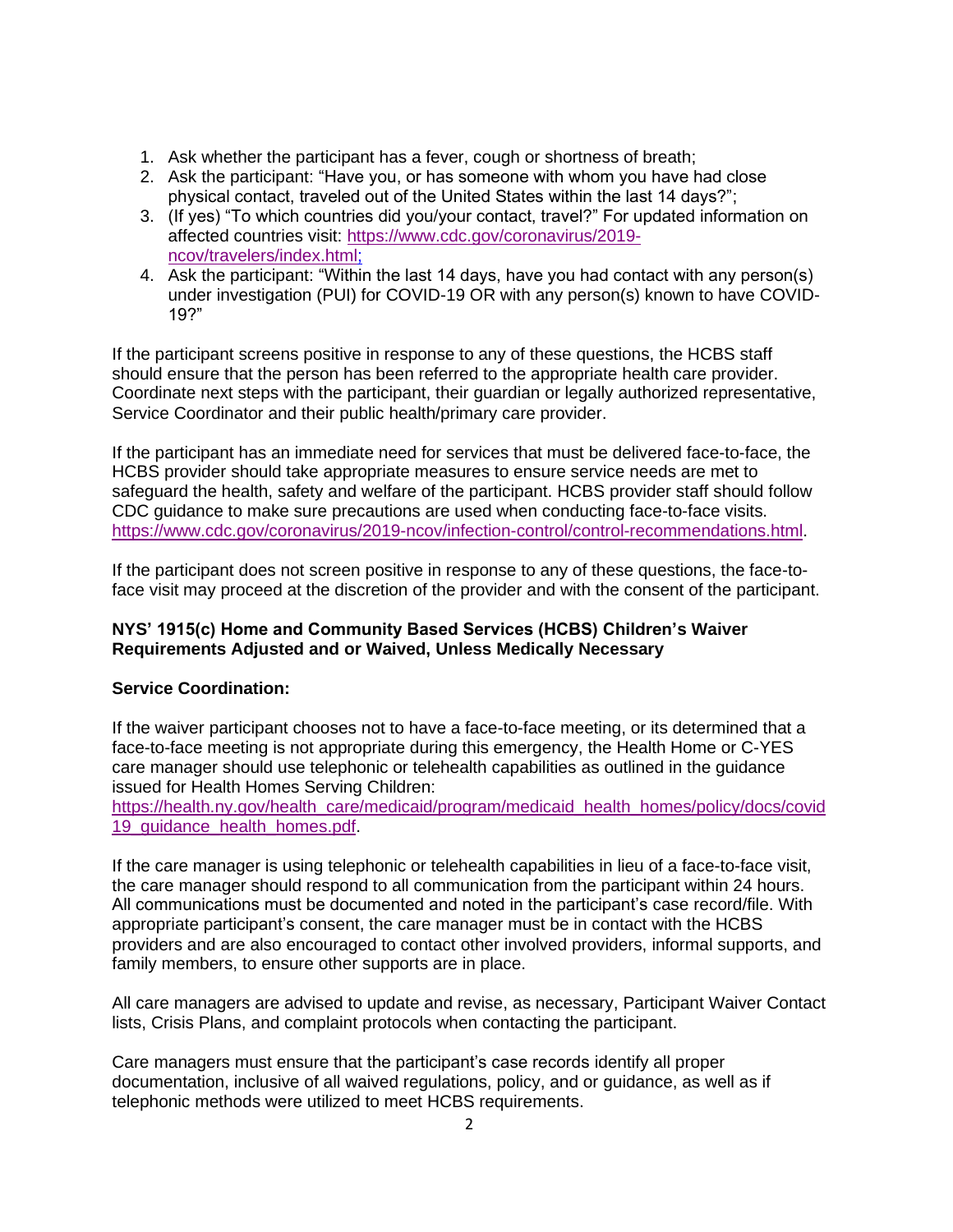- 1. Ask whether the participant has a fever, cough or shortness of breath;
- 2. Ask the participant: "Have you, or has someone with whom you have had close physical contact, traveled out of the United States within the last 14 days?";
- 3. (If yes) "To which countries did you/your contact, travel?" For updated information on affected countries visit: [https://www.cdc.gov/coronavirus/2019](https://www.cdc.gov/coronavirus/2019-ncov/travelers/index.html) [ncov/travelers/index.html;](https://www.cdc.gov/coronavirus/2019-ncov/travelers/index.html)
- 4. Ask the participant: "Within the last 14 days, have you had contact with any person(s) under investigation (PUI) for COVID-19 OR with any person(s) known to have COVID-19?"

 If the participant screens positive in response to any of these questions, the HCBS staff should ensure that the person has been referred to the appropriate health care provider. Coordinate next steps with the participant, their guardian or legally authorized representative, Service Coordinator and their public health/primary care provider.

 If the participant has an immediate need for services that must be delivered face-to-face, the HCBS provider should take appropriate measures to ensure service needs are met to safeguard the health, safety and welfare of the participant. HCBS provider staff should follow CDC guidance to make sure precautions are used when conducting face-to-face visits. [https://www.cdc.gov/coronavirus/2019-ncov/infection-control/control-recommendations.html.](https://www.cdc.gov/coronavirus/2019-ncov/infection-control/control-recommendations.html)

 If the participant does not screen positive in response to any of these questions, the face-to-face visit may proceed at the discretion of the provider and with the consent of the participant.

# **NYS' 1915(c) Home and Community Based Services (HCBS) Children's Waiver Requirements Adjusted and or Waived, Unless Medically Necessary**

## **Service Coordination:**

 If the waiver participant chooses not to have a face-to-face meeting, or its determined that a face-to-face meeting is not appropriate during this emergency, the Health Home or C-YES care manager should use telephonic or telehealth capabilities as outlined in the guidance issued for Health Homes Serving Children:

[https://health.ny.gov/health\\_care/medicaid/program/medicaid\\_health\\_homes/policy/docs/covid](https://health.ny.gov/health_care/medicaid/program/medicaid_health_homes/policy/docs/covid19_guidance_health_homes.pdf)  19 quidance health homes.pdf.

 If the care manager is using telephonic or telehealth capabilities in lieu of a face-to-face visit, the care manager should respond to all communication from the participant within 24 hours. All communications must be documented and noted in the participant's case record/file. With appropriate participant's consent, the care manager must be in contact with the HCBS family members, to ensure other supports are in place. providers and are also encouraged to contact other involved providers, informal supports, and

 All care managers are advised to update and revise, as necessary, Participant Waiver Contact lists, Crisis Plans, and complaint protocols when contacting the participant.

lists, Crisis Plans, and complaint protocols when contacting the participant.<br>Care managers must ensure that the participant's case records identify all proper documentation, inclusive of all waived regulations, policy, and or guidance, as well as if telephonic methods were utilized to meet HCBS requirements.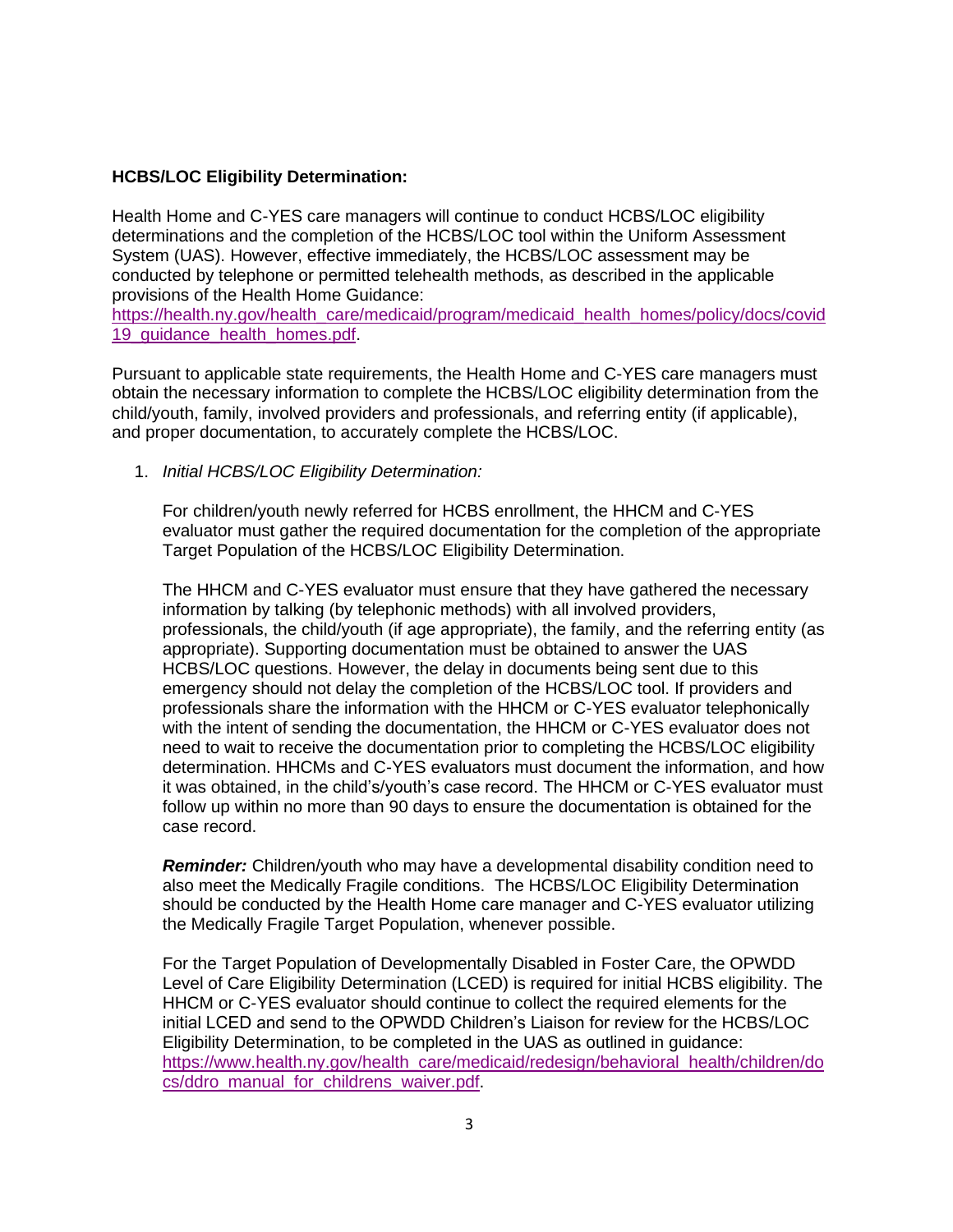### **HCBS/LOC Eligibility Determination:**

 Health Home and C-YES care managers will continue to conduct HCBS/LOC eligibility determinations and the completion of the HCBS/LOC tool within the Uniform Assessment System (UAS). However, effective immediately, the HCBS/LOC assessment may be conducted by telephone or permitted telehealth methods, as described in the applicable provisions of the Health Home Guidance:

[https://health.ny.gov/health\\_care/medicaid/program/medicaid\\_health\\_homes/policy/docs/covid](https://health.ny.gov/health_care/medicaid/program/medicaid_health_homes/policy/docs/covid19_guidance_health_homes.pdf)  [19\\_guidance\\_health\\_homes.pdf.](https://health.ny.gov/health_care/medicaid/program/medicaid_health_homes/policy/docs/covid19_guidance_health_homes.pdf)

 Pursuant to applicable state requirements, the Health Home and C-YES care managers must obtain the necessary information to complete the HCBS/LOC eligibility determination from the child/youth, family, involved providers and professionals, and referring entity (if applicable), and proper documentation, to accurately complete the HCBS/LOC.

1. *Initial HCBS/LOC Eligibility Determination:* 

 For children/youth newly referred for HCBS enrollment, the HHCM and C-YES evaluator must gather the required documentation for the completion of the appropriate Target Population of the HCBS/LOC Eligibility Determination.

 The HHCM and C-YES evaluator must ensure that they have gathered the necessary information by talking (by telephonic methods) with all involved providers, professionals, the child/youth (if age appropriate), the family, and the referring entity (as appropriate). Supporting documentation must be obtained to answer the UAS HCBS/LOC questions. However, the delay in documents being sent due to this emergency should not delay the completion of the HCBS/LOC tool. If providers and professionals share the information with the HHCM or C-YES evaluator telephonically with the intent of sending the documentation, the HHCM or C-YES evaluator does not need to wait to receive the documentation prior to completing the HCBS/LOC eligibility determination. HHCMs and C-YES evaluators must document the information, and how it was obtained, in the child's/youth's case record. The HHCM or C-YES evaluator must follow up within no more than 90 days to ensure the documentation is obtained for the case record.

 *Reminder:* Children/youth who may have a developmental disability condition need to also meet the Medically Fragile conditions. The HCBS/LOC Eligibility Determination should be conducted by the Health Home care manager and C-YES evaluator utilizing the Medically Fragile Target Population, whenever possible.

 For the Target Population of Developmentally Disabled in Foster Care, the OPWDD Level of Care Eligibility Determination (LCED) is required for initial HCBS eligibility. The HHCM or C-YES evaluator should continue to collect the required elements for the initial LCED and send to the OPWDD Children's Liaison for review for the HCBS/LOC Eligibility Determination, to be completed in the UAS as outlined in guidance: [https://www.health.ny.gov/health\\_care/medicaid/redesign/behavioral\\_health/children/do](https://www.health.ny.gov/health_care/medicaid/redesign/behavioral_health/children/docs/ddro_manual_for_childrens_waiver.pdf)  [cs/ddro\\_manual\\_for\\_childrens\\_waiver.pdf.](https://www.health.ny.gov/health_care/medicaid/redesign/behavioral_health/children/docs/ddro_manual_for_childrens_waiver.pdf)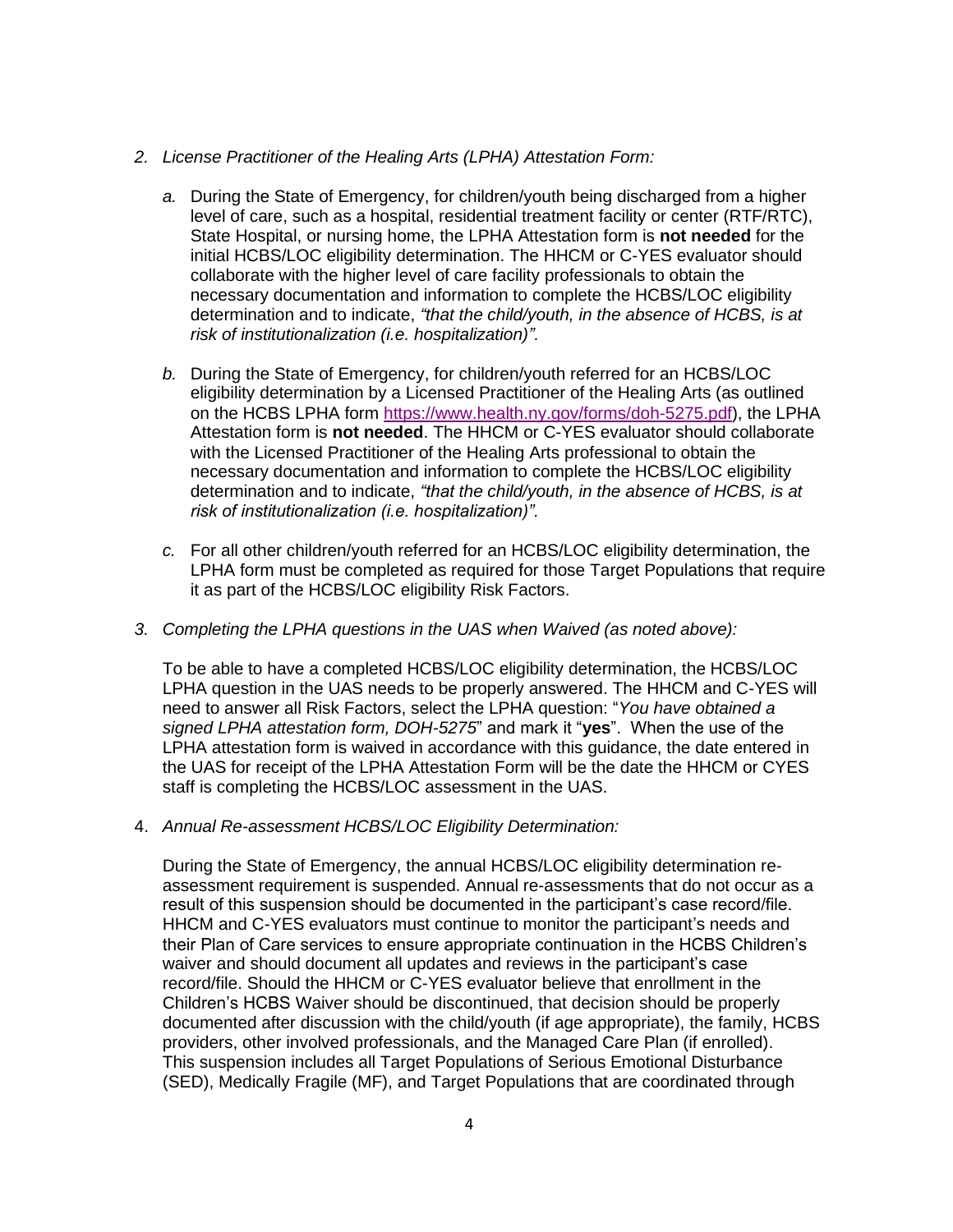#### *2. License Practitioner of the Healing Arts (LPHA) Attestation Form:*

- *a.* During the State of Emergency, for children/youth being discharged from a higher level of care, such as a hospital, residential treatment facility or center (RTF/RTC), State Hospital, or nursing home, the LPHA Attestation form is **not needed** for the initial HCBS/LOC eligibility determination. The HHCM or C-YES evaluator should collaborate with the higher level of care facility professionals to obtain the determination and to indicate, *"that the child/youth, in the absence of HCBS, is at*  necessary documentation and information to complete the HCBS/LOC eligibility *risk of institutionalization (i.e. hospitalization)".*
- *b.* During the State of Emergency, for children/youth referred for an HCBS/LOC eligibility determination by a Licensed Practitioner of the Healing Arts (as outlined on the HCBS LPHA form [https://www.health.ny.gov/forms/doh-5275.pdf\)](https://www.health.ny.gov/forms/doh-5275.pdf), the LPHA Attestation form is **not needed**. The HHCM or C-YES evaluator should collaborate with the Licensed Practitioner of the Healing Arts professional to obtain the determination and to indicate, *"that the child/youth, in the absence of HCBS, is at*  necessary documentation and information to complete the HCBS/LOC eligibility *risk of institutionalization (i.e. hospitalization)".*
- *c.* For all other children/youth referred for an HCBS/LOC eligibility determination, the LPHA form must be completed as required for those Target Populations that require it as part of the HCBS/LOC eligibility Risk Factors.
- *3. Completing the LPHA questions in the UAS when Waived (as noted above):*

 To be able to have a completed HCBS/LOC eligibility determination, the HCBS/LOC LPHA question in the UAS needs to be properly answered. The HHCM and C-YES will need to answer all Risk Factors, select the LPHA question: "*You have obtained a signed LPHA attestation form, DOH-5275*" and mark it "**yes**". When the use of the LPHA attestation form is waived in accordance with this guidance, the date entered in the UAS for receipt of the LPHA Attestation Form will be the date the HHCM or CYES staff is completing the HCBS/LOC assessment in the UAS.

4. *Annual Re-assessment HCBS/LOC Eligibility Determination:* 

 During the State of Emergency, the annual HCBS/LOC eligibility determination re- assessment requirement is suspended. Annual re-assessments that do not occur as a result of this suspension should be documented in the participant's case record/file. HHCM and C-YES evaluators must continue to monitor the participant's needs and their Plan of Care services to ensure appropriate continuation in the HCBS Children's waiver and should document all updates and reviews in the participant's case record/file. Should the HHCM or C-YES evaluator believe that enrollment in the Children's HCBS Waiver should be discontinued, that decision should be properly documented after discussion with the child/youth (if age appropriate), the family, HCBS providers, other involved professionals, and the Managed Care Plan (if enrolled). This suspension includes all Target Populations of Serious Emotional Disturbance (SED), Medically Fragile (MF), and Target Populations that are coordinated through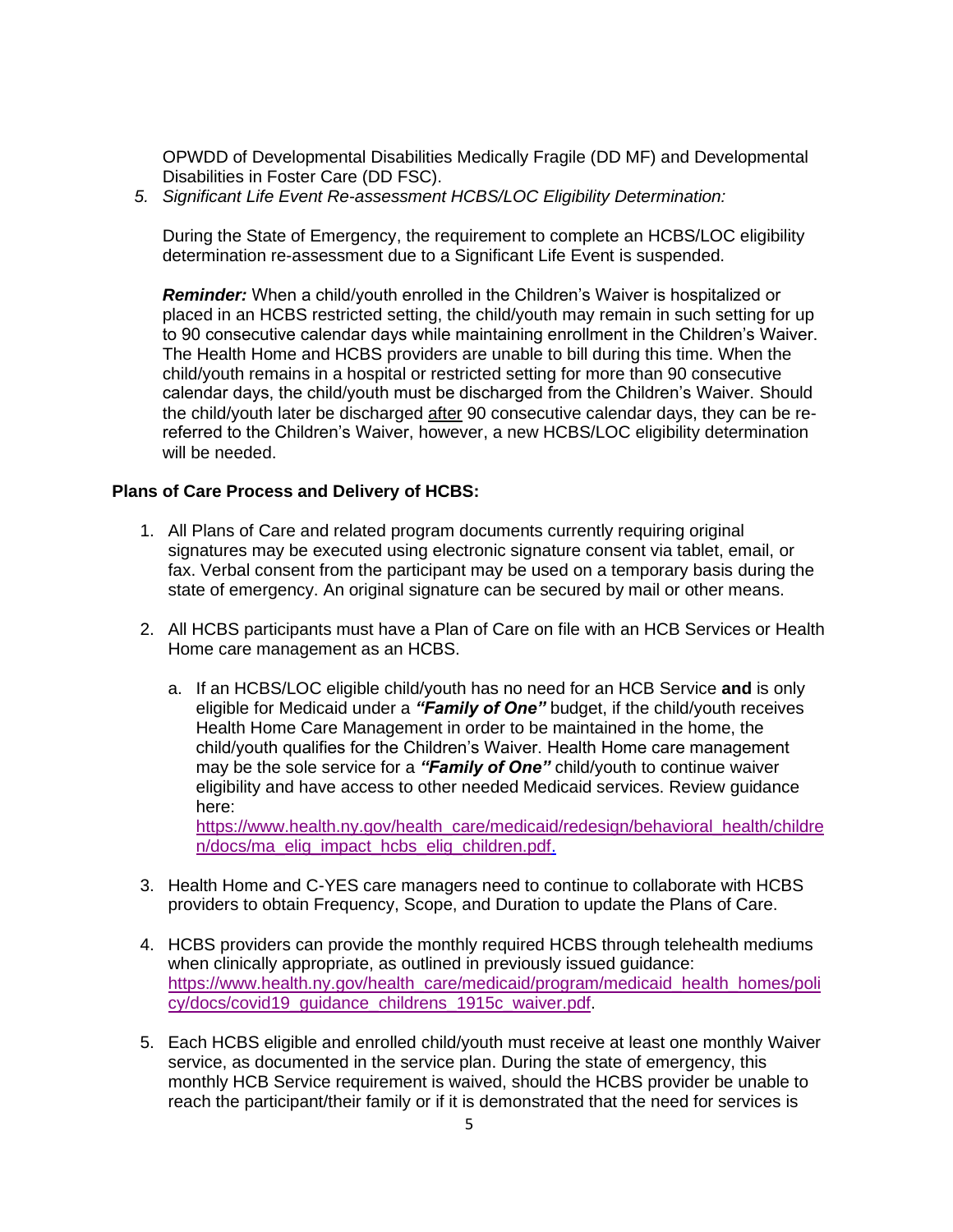OPWDD of Developmental Disabilities Medically Fragile (DD MF) and Developmental Disabilities in Foster Care (DD FSC).

 *5. Significant Life Event Re-assessment HCBS/LOC Eligibility Determination:* 

 During the State of Emergency, the requirement to complete an HCBS/LOC eligibility determination re-assessment due to a Significant Life Event is suspended.

 *Reminder:* When a child/youth enrolled in the Children's Waiver is hospitalized or placed in an HCBS restricted setting, the child/youth may remain in such setting for up to 90 consecutive calendar days while maintaining enrollment in the Children's Waiver. The Health Home and HCBS providers are unable to bill during this time. When the child/youth remains in a hospital or restricted setting for more than 90 consecutive calendar days, the child/youth must be discharged from the Children's Waiver. Should the child/youth later be discharged after 90 consecutive calendar days, they can be re- referred to the Children's Waiver, however, a new HCBS/LOC eligibility determination will be needed.

#### **Plans of Care Process and Delivery of HCBS:**

- 1. All Plans of Care and related program documents currently requiring original signatures may be executed using electronic signature consent via tablet, email, or fax. Verbal consent from the participant may be used on a temporary basis during the state of emergency. An original signature can be secured by mail or other means.
- 2. All HCBS participants must have a Plan of Care on file with an HCB Services or Health Home care management as an HCBS.
	- a. If an HCBS/LOC eligible child/youth has no need for an HCB Service **and** is only  eligible for Medicaid under a *"Family of One"* budget, if the child/youth receives Health Home Care Management in order to be maintained in the home, the child/youth qualifies for the Children's Waiver. Health Home care management may be the sole service for a *"Family of One"* child/youth to continue waiver eligibility and have access to other needed Medicaid services. Review guidance here:

[https://www.health.ny.gov/health\\_care/medicaid/redesign/behavioral\\_health/childre](https://www.health.ny.gov/health_care/medicaid/redesign/behavioral_health/children/docs/ma_elig_impact_hcbs_elig_children.pdf)  [n/docs/ma\\_elig\\_impact\\_hcbs\\_elig\\_children.pdf.](https://www.health.ny.gov/health_care/medicaid/redesign/behavioral_health/children/docs/ma_elig_impact_hcbs_elig_children.pdf)

- 3. Health Home and C-YES care managers need to continue to collaborate with HCBS providers to obtain Frequency, Scope, and Duration to update the Plans of Care.
- 4. HCBS providers can provide the monthly required HCBS through telehealth mediums when clinically appropriate, as outlined in previously issued quidance: [https://www.health.ny.gov/health\\_care/medicaid/program/medicaid\\_health\\_homes/poli](https://www.health.ny.gov/health_care/medicaid/program/medicaid_health_homes/policy/docs/covid19_guidance_childrens_1915c_waiver.pdf)  [cy/docs/covid19\\_guidance\\_childrens\\_1915c\\_waiver.pdf.](https://www.health.ny.gov/health_care/medicaid/program/medicaid_health_homes/policy/docs/covid19_guidance_childrens_1915c_waiver.pdf)
- 5. Each HCBS eligible and enrolled child/youth must receive at least one monthly Waiver service, as documented in the service plan. During the state of emergency, this monthly HCB Service requirement is waived, should the HCBS provider be unable to reach the participant/their family or if it is demonstrated that the need for services is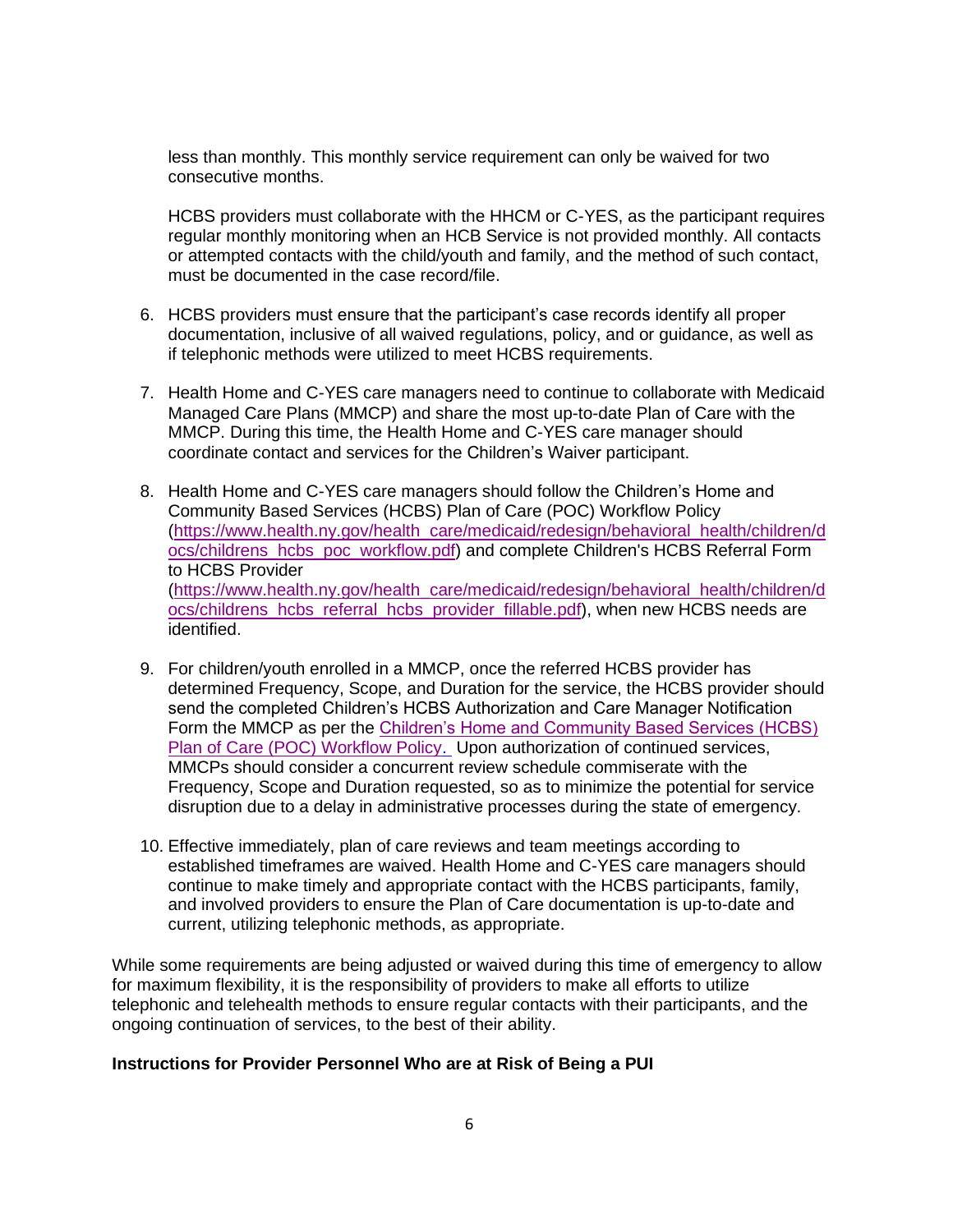less than monthly. This monthly service requirement can only be waived for two consecutive months.

 HCBS providers must collaborate with the HHCM or C-YES, as the participant requires regular monthly monitoring when an HCB Service is not provided monthly. All contacts or attempted contacts with the child/youth and family, and the method of such contact, must be documented in the case record/file.

- 6. HCBS providers must ensure that the participant's case records identify all proper documentation, inclusive of all waived regulations, policy, and or guidance, as well as if telephonic methods were utilized to meet HCBS requirements.
- 7. Health Home and C-YES care managers need to continue to collaborate with Medicaid Managed Care Plans (MMCP) and share the most up-to-date Plan of Care with the MMCP. During this time, the Health Home and C-YES care manager should coordinate contact and services for the Children's Waiver participant.
- 8. Health Home and C-YES care managers should follow the Children's Home and Community Based Services (HCBS) Plan of Care (POC) Workflow Policy [ocs/childrens\\_hcbs\\_poc\\_workflow.pdf\)](https://www.health.ny.gov/health_care/medicaid/redesign/behavioral_health/children/docs/childrens_hcbs_poc_workflow.pdf) and complete Children's HCBS Referral Form to HCBS Provider [\(https://www.health.ny.gov/health\\_care/medicaid/redesign/behavioral\\_health/children/d](https://www.health.ny.gov/health_care/medicaid/redesign/behavioral_health/children/docs/childrens_hcbs_poc_workflow.pdf)  (https://www.health.ny.gov/health\_care/medicaid/redesign/behavioral\_health/children/d [ocs/childrens\\_hcbs\\_referral\\_hcbs\\_provider\\_fillable.pdf\)](https://www.health.ny.gov/health_care/medicaid/redesign/behavioral_health/children/docs/childrens_hcbs_referral_hcbs_provider_fillable.pdf), when new HCBS needs are identified.
- 9. For children/youth enrolled in a MMCP, once the referred HCBS provider has determined Frequency, Scope, and Duration for the service, the HCBS provider should send the completed Children's HCBS Authorization and Care Manager Notification Form the MMCP as per the [Children's Home and](https://www.health.ny.gov/health_care/medicaid/redesign/behavioral_health/children/docs/childrens_hcbs_poc_workflow.pdf) Community Based Services (HCBS) [Plan of Care \(POC\) Workflow Policy.](https://www.health.ny.gov/health_care/medicaid/redesign/behavioral_health/children/docs/childrens_hcbs_poc_workflow.pdf) Upon authorization of continued services, MMCPs should consider a concurrent review schedule commiserate with the Frequency, Scope and Duration requested, so as to minimize the potential for service disruption due to a delay in administrative processes during the state of emergency.
- 10. Effective immediately, plan of care reviews and team meetings according to continue to make timely and appropriate contact with the HCBS participants, family, and involved providers to ensure the Plan of Care documentation is up-to-date and established timeframes are waived. Health Home and C-YES care managers should current, [utilizing telephonic methods, as appropriate.](https://health.ny.gov/health_care/medicaid/covid19/docs/2020-03-19_guide_hhsa_hhsc.pdf)

 While some requirements are being adjusted or waived during this time of emergency to allow for maximum flexibility, it is the responsibility of providers to make all efforts to utilize telephonic and telehealth methods to ensure regular contacts with their participants, and the ongoing continuation of services, to the best of their ability.

#### **Instructions for Provider Personnel Who are at Risk of Being a PUI**